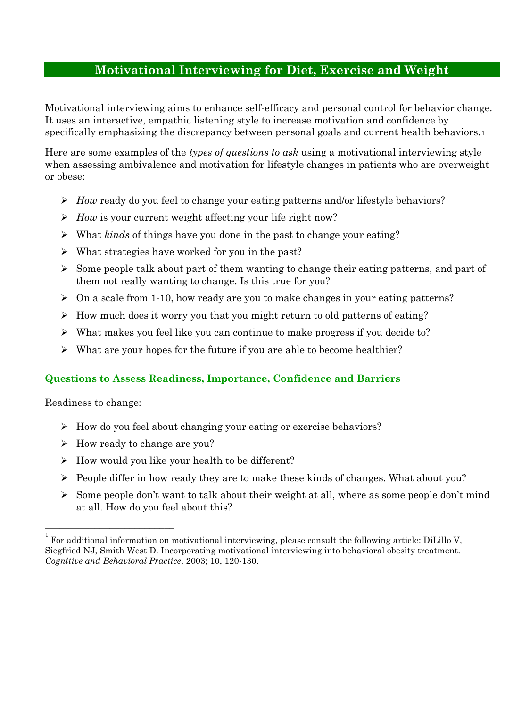# **Motivational Interviewing for Diet, Exercise and Weight**

Motivational interviewing aims to enhance self-efficacy and personal control for behavior change. It uses an interactive, empathic listening style to increase motivation and confidence by specifically emphasizing the discrepancy between personal goals and current health behaviors.<sup>1</sup>

Here are some examples of the *types of questions to ask* using a motivational interviewing style when assessing ambivalence and motivation for lifestyle changes in patients who are overweight or obese:

- *How* ready do you feel to change your eating patterns and/or lifestyle behaviors?
- *How* is your current weight affecting your life right now?
- What *kinds* of things have you done in the past to change your eating?
- $\triangleright$  What strategies have worked for you in the past?
- $\triangleright$  Some people talk about part of them wanting to change their eating patterns, and part of them not really wanting to change. Is this true for you?
- $\geq$  On a scale from 1-10, how ready are you to make changes in your eating patterns?
- $\triangleright$  How much does it worry you that you might return to old patterns of eating?
- What makes you feel like you can continue to make progress if you decide to?
- $\triangleright$  What are your hopes for the future if you are able to become healthier?

## **Questions to Assess Readiness, Importance, Confidence and Barriers**

Readiness to change:

\_\_\_\_\_\_\_\_\_\_\_\_\_\_\_\_\_\_\_\_\_\_\_\_\_\_

- $\triangleright$  How do you feel about changing your eating or exercise behaviors?
- $\triangleright$  How ready to change are you?
- $\triangleright$  How would you like your health to be different?
- $\triangleright$  People differ in how ready they are to make these kinds of changes. What about you?
- $\triangleright$  Some people don't want to talk about their weight at all, where as some people don't mind at all. How do you feel about this?

<sup>1</sup>For additional information on motivational interviewing, please consult the following article: DiLillo V, Siegfried NJ, Smith West D. Incorporating motivational interviewing into behavioral obesity treatment. *Cognitive and Behavioral Practice*. 2003; 10, 120-130.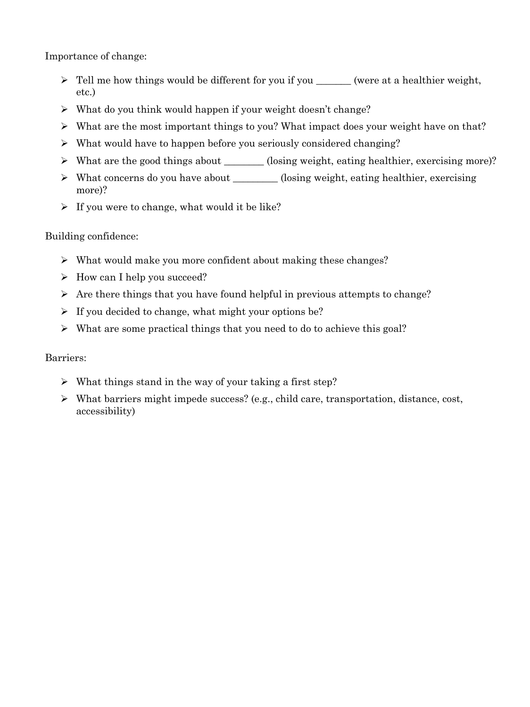Importance of change:

- $\triangleright$  Tell me how things would be different for you if you \_\_\_\_\_\_ (were at a healthier weight, etc.)
- $\triangleright$  What do you think would happen if your weight doesn't change?
- $\triangleright$  What are the most important things to you? What impact does your weight have on that?
- What would have to happen before you seriously considered changing?
- $\triangleright$  What are the good things about  $\perp$  (losing weight, eating healthier, exercising more)?
- > What concerns do you have about \_\_\_\_\_\_\_\_\_ (losing weight, eating healthier, exercising more)?
- $\triangleright$  If you were to change, what would it be like?

## Building confidence:

- $\triangleright$  What would make you more confident about making these changes?
- How can I help you succeed?
- $\triangleright$  Are there things that you have found helpful in previous attempts to change?
- $\triangleright$  If you decided to change, what might your options be?
- $\triangleright$  What are some practical things that you need to do to achieve this goal?

## Barriers:

- $\triangleright$  What things stand in the way of your taking a first step?
- $\triangleright$  What barriers might impede success? (e.g., child care, transportation, distance, cost, accessibility)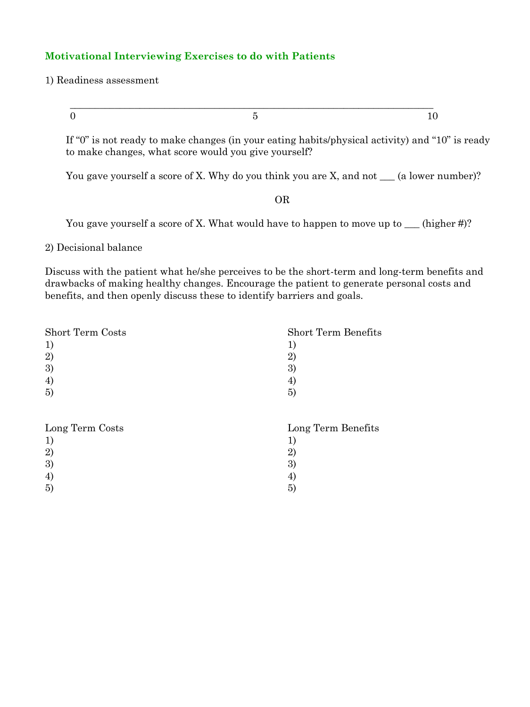#### **Motivational Interviewing Exercises to do with Patients**

1) Readiness assessment

 $\mathcal{L}_\mathcal{L} = \mathcal{L}_\mathcal{L} = \mathcal{L}_\mathcal{L} = \mathcal{L}_\mathcal{L} = \mathcal{L}_\mathcal{L} = \mathcal{L}_\mathcal{L} = \mathcal{L}_\mathcal{L} = \mathcal{L}_\mathcal{L} = \mathcal{L}_\mathcal{L} = \mathcal{L}_\mathcal{L} = \mathcal{L}_\mathcal{L} = \mathcal{L}_\mathcal{L} = \mathcal{L}_\mathcal{L} = \mathcal{L}_\mathcal{L} = \mathcal{L}_\mathcal{L} = \mathcal{L}_\mathcal{L} = \mathcal{L}_\mathcal{L}$  $\overline{0}$  5 10

If "0" is not ready to make changes (in your eating habits/physical activity) and "10" is ready to make changes, what score would you give yourself?

You gave yourself a score of X. Why do you think you are X, and not  $\_\_$  (a lower number)?

OR

You gave yourself a score of X. What would have to happen to move up to  $\_\_$  (higher #)?

2) Decisional balance

Discuss with the patient what he/she perceives to be the short-term and long-term benefits and drawbacks of making healthy changes. Encourage the patient to generate personal costs and benefits, and then openly discuss these to identify barriers and goals.

| <b>Short Term Costs</b> | <b>Short Term Benefits</b> |
|-------------------------|----------------------------|
|                         |                            |
|                         |                            |
|                         | 3                          |
|                         | 4                          |
|                         | 5                          |

| Long Term Costs | Long Term Benefits |
|-----------------|--------------------|
|                 |                    |
| 2)              | $2^{\circ}$        |
| 3)              | 3)                 |
| $\overline{4}$  | 4.                 |
| 5)              | 5 <sup>°</sup>     |
|                 |                    |